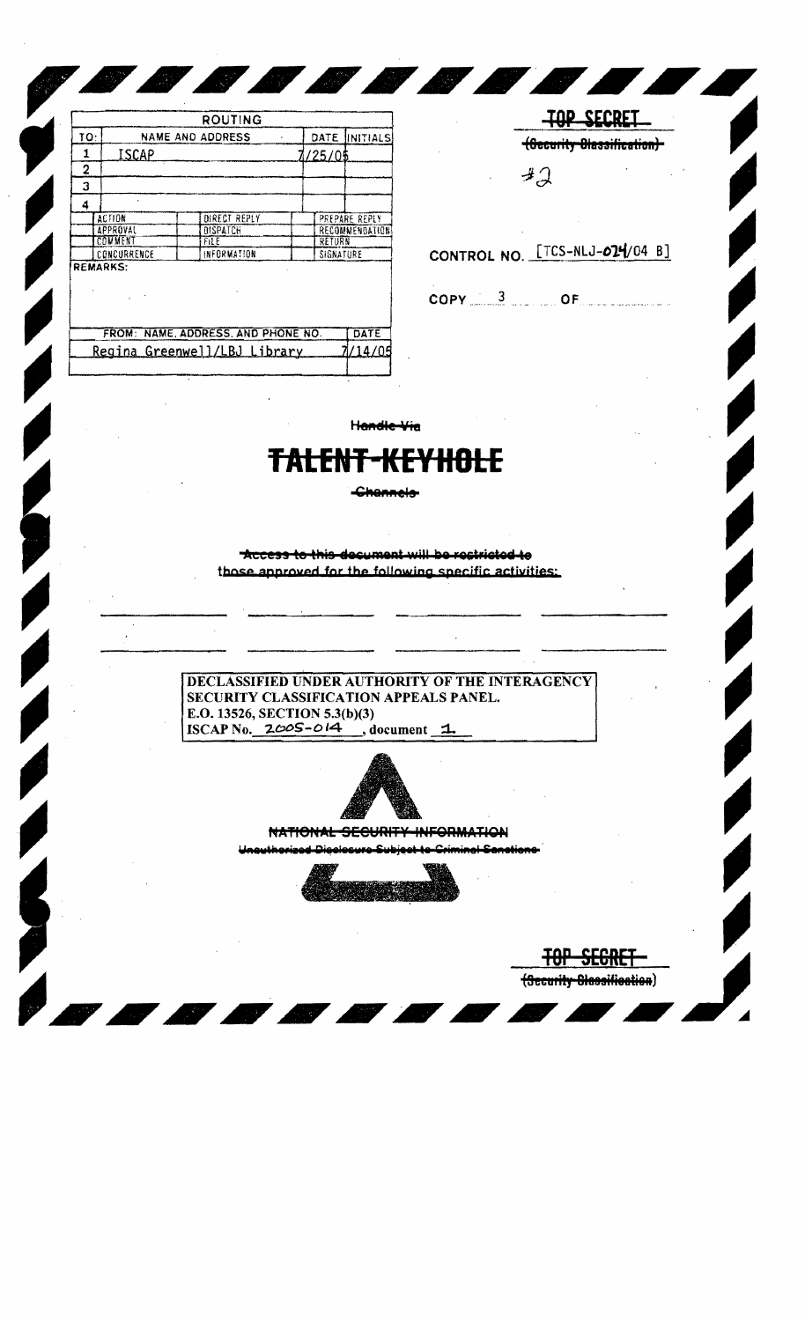|     |                         | <b>ROUTING</b>                     |      |                 |                |
|-----|-------------------------|------------------------------------|------|-----------------|----------------|
| TO: | <b>NAME AND ADDRESS</b> |                                    | DATE | <b>INITIALS</b> |                |
| 1   | ISCAP                   |                                    |      | 7/25/05         |                |
| 2   |                         |                                    |      |                 |                |
| 3   |                         |                                    |      |                 |                |
| 4   |                         |                                    |      |                 |                |
|     | <b>ACTION</b>           | DIRECT REPLY                       |      |                 | PREPARE REPLY  |
|     | APPROVAL                | <b><i>OISPATCH</i></b>             |      |                 | RECOMMENDATION |
|     | COMMENT                 | FILE                               |      | RETURN          |                |
|     | CONCURRENCE             | INFORMATION                        |      | SIGNATURE       |                |
|     | <b>REMARKS:</b>         |                                    |      |                 |                |
|     |                         | FROM: NAME, ADDRESS, AND PHONE NO. |      |                 | DATE           |
|     |                         | Regina Greenwell/LBJ Library       |      |                 | 7/14/05        |
|     |                         |                                    |      |                 |                |

 $\mathbb{Z}^N$ 

**TOP SECRET** (Security Diassification)- $42$ 

CONTROL NO. [TCS-NLJ-024/04 B]

 $\mathsf{COPY} = \frac{3}{2}$  of

Handle Via

*BOODBOD* 

## <del>TALENT-KEYHOLE</del>

-Channels-

Access to this decument will be rectricted to those annroved for the following specific activities:

DECLASSIFIED UNDER AUTHORITY OF THE INTERAGENCY SECURITY CLASSIFICATION APPEALS PANEL. E.O. 13526, SECTION 5.3(b)(3) ISCAP No. 2005-014  $, document$   $1$ 



NATIONAL SECURITY INFORMATION



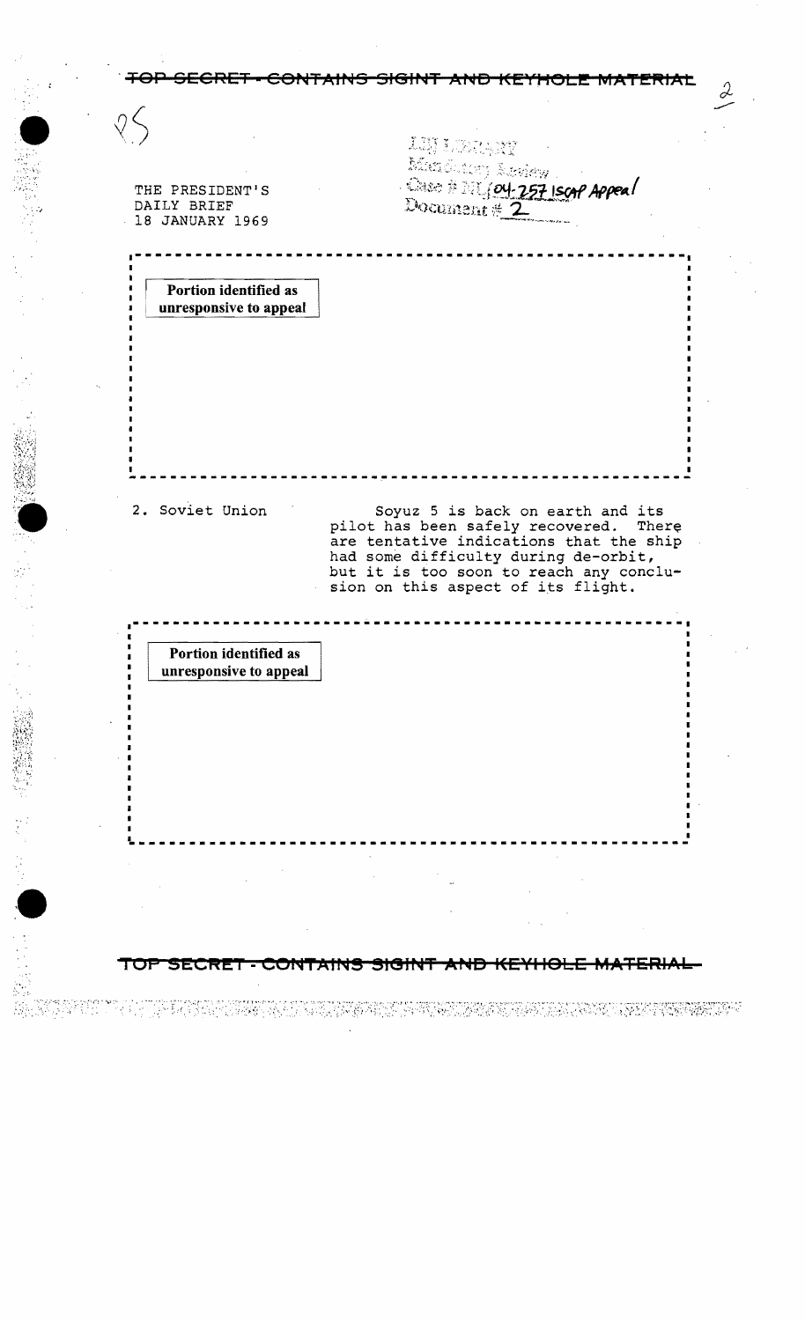|                                                 | 工期 3<br>Altago                                                                  |  |
|-------------------------------------------------|---------------------------------------------------------------------------------|--|
| THE PRESIDENT'S                                 | Alexandre Roman<br>Document # 2                                                 |  |
| DAILY BRIEF<br>18 JANUARY 1969                  |                                                                                 |  |
|                                                 |                                                                                 |  |
|                                                 |                                                                                 |  |
| Portion identified as<br>unresponsive to appeal |                                                                                 |  |
|                                                 |                                                                                 |  |
|                                                 |                                                                                 |  |
|                                                 |                                                                                 |  |
|                                                 |                                                                                 |  |
|                                                 |                                                                                 |  |
|                                                 |                                                                                 |  |
| 2. Soviet Union                                 | Soyuz 5 is back on earth and its                                                |  |
|                                                 |                                                                                 |  |
|                                                 | pilot has been safely recovered. There                                          |  |
|                                                 | are tentative indications that the ship<br>had some difficulty during de-orbit, |  |
|                                                 | but it is too soon to reach any conclu-<br>sion on this aspect of its flight.   |  |
|                                                 |                                                                                 |  |
|                                                 |                                                                                 |  |
| Portion identified as<br>unresponsive to appeal |                                                                                 |  |
|                                                 |                                                                                 |  |
|                                                 |                                                                                 |  |
|                                                 |                                                                                 |  |
|                                                 |                                                                                 |  |
|                                                 |                                                                                 |  |
|                                                 |                                                                                 |  |
|                                                 |                                                                                 |  |
|                                                 |                                                                                 |  |
|                                                 |                                                                                 |  |

 $\mathcal{L}_{\mathcal{A}}$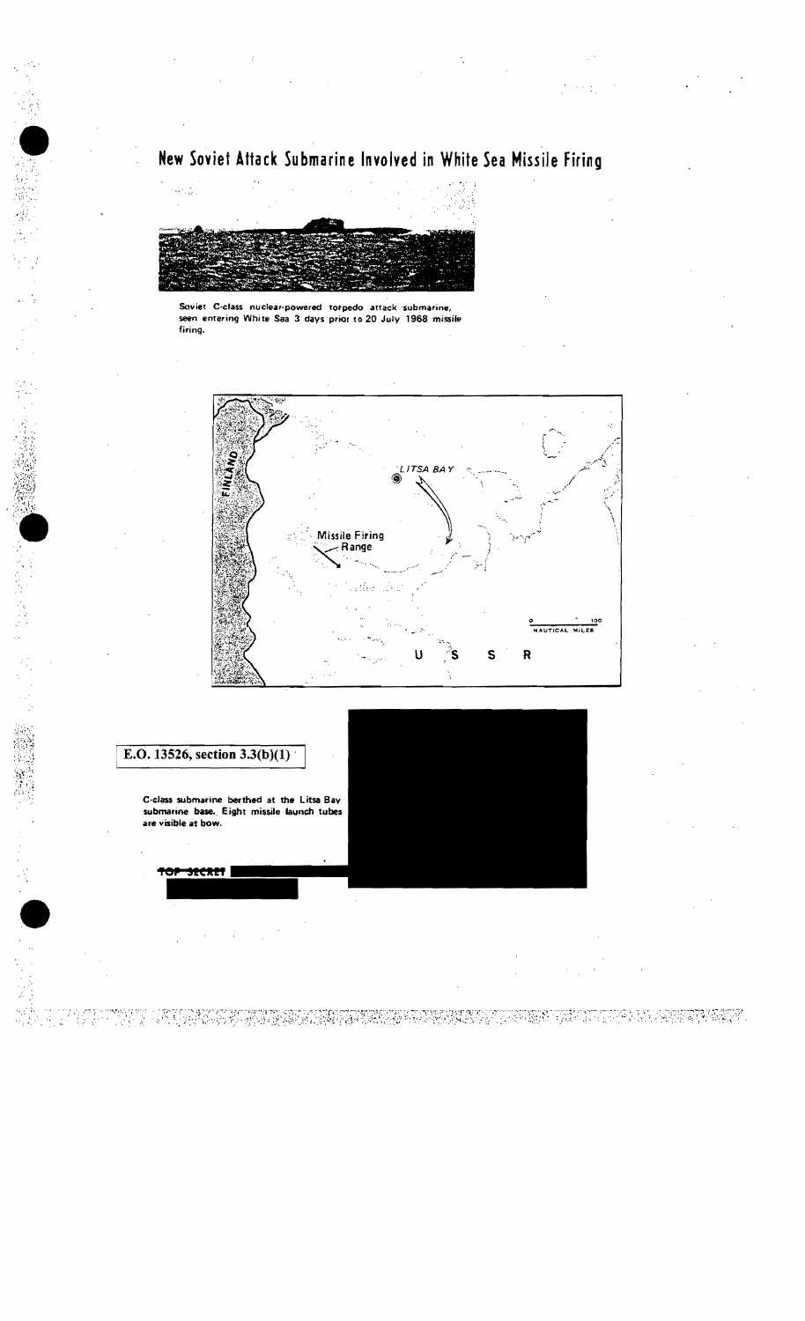## New Soviet Attack Submarine Involved in White Sea Missile Firing



Soviet C-class nuclear-powered torpedo attack submarine, seen entering White Sea 3 days prior to 20 July 1968 missile firing.



## E.O. 13526, section  $3.3(b)(1)$

 $\sqrt[3]{\frac{1}{2}}$ 

C-class submarine berthed at the Litsa Bay submarine base. Eight missile launch tubes are visible at bow.

32CR27

**18422477474747** bi ng Tin 3373.501 -43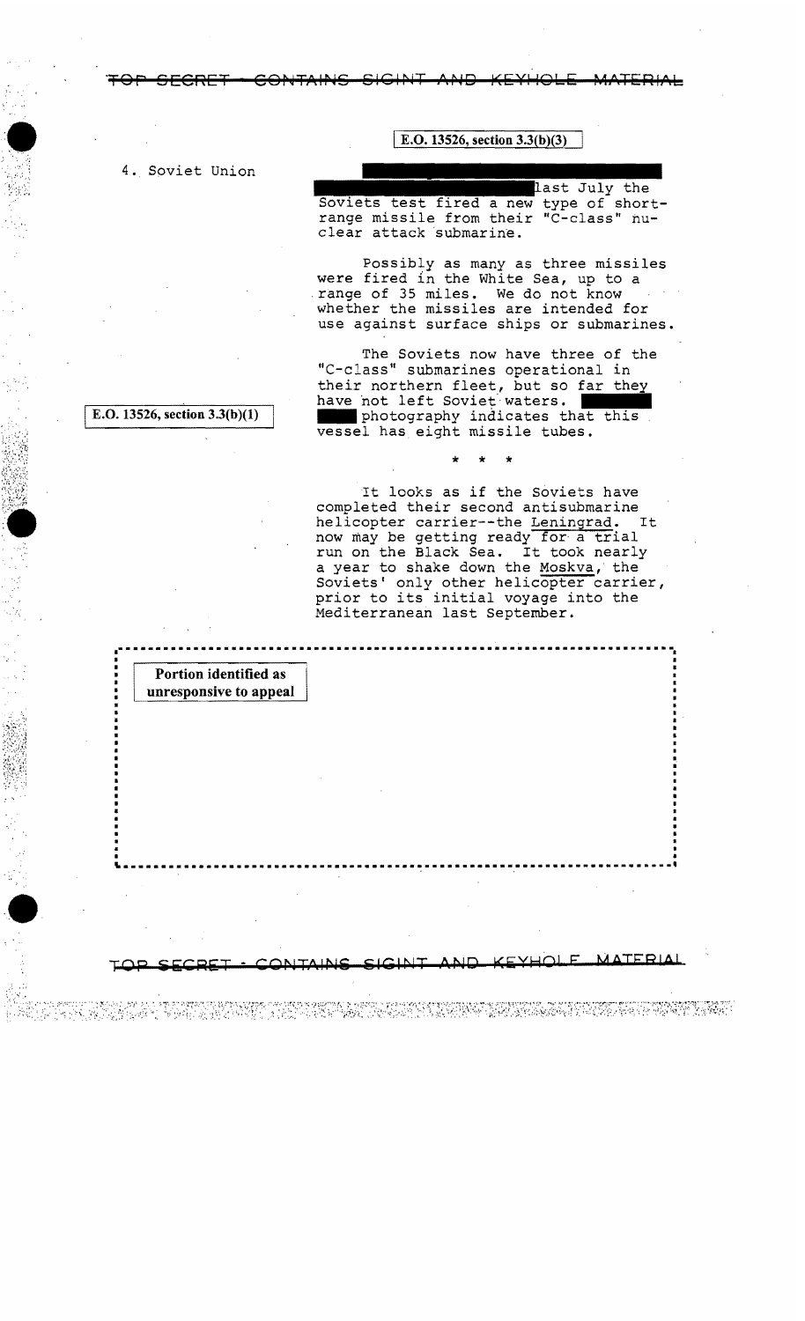## E.O. 13526, section  $3.3(b)(3)$

4. Soviet Union

last July the

Soviets test fired a new type of shortrange missile from their "C-class" nuclear attack submarine.

Possibly as many as three missiles were fired in the White Sea, up to a range of 35 miles. We do not know whether the missiles are intended for use against surface ships or submarines.

The Soviets now have three of the "C-class" submarines operational in their northern fleet, but so far they have not left Soviet waters. photography indicates that this vessel has eight missile tubes.

It looks as if the Soviets have completed their second antisubmarine helicopter carrier--the Leningrad. It now may be getting ready for a trial run on the Black Sea. It took nearly a year to shake down the Moskva, the Soviets' only other helicopter carrier, prior to its initial voyage into the Mediterranean last September.

A MARAMA MANASA YA MANASA (RAMAN YA WAT

E.O. 13526, section  $3.3(b)(1)$ 

Portion identified as unresponsive to appeal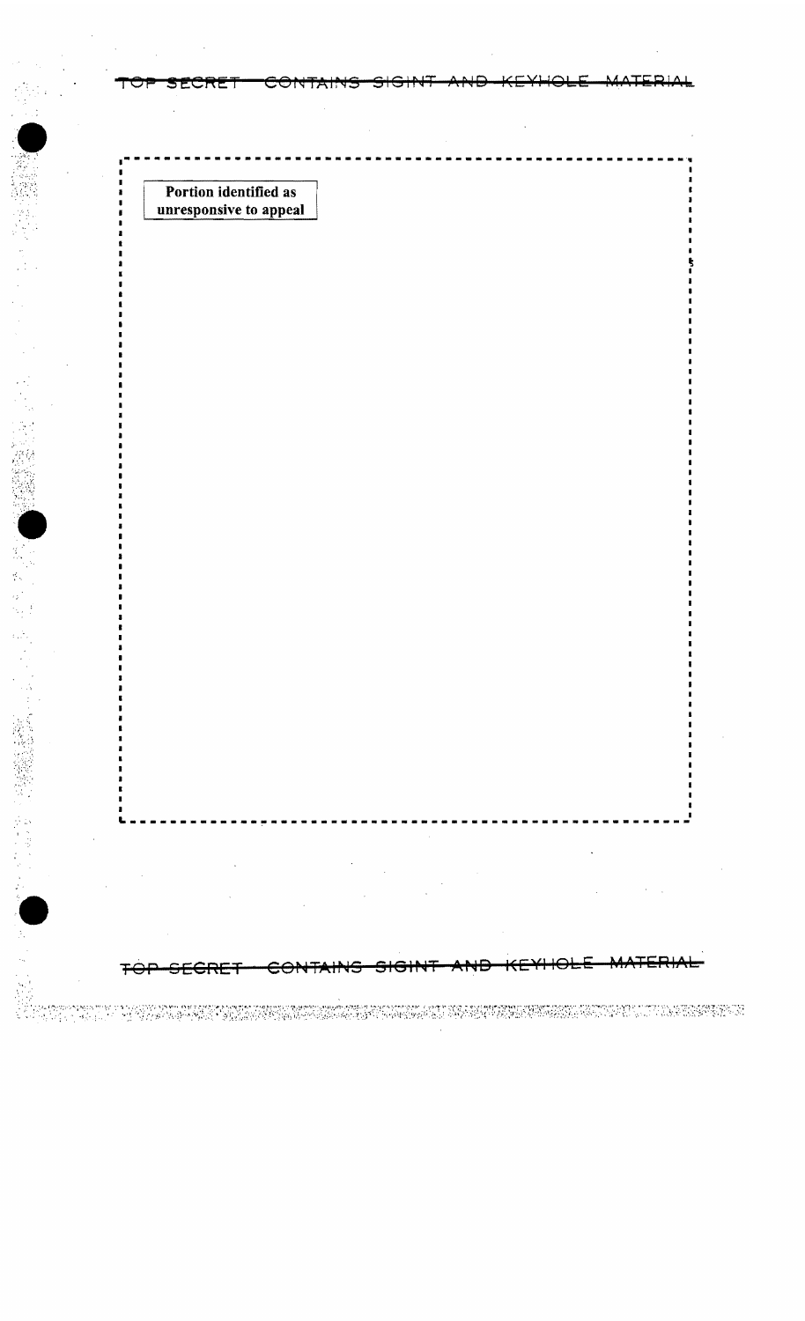Portion identified as unresponsive to appeal

 $\mathbf{r}$ 

 $\bullet$ 

**上海海 经管理人** 

TAR

<del>CRET</del> ⊖⊖†

stermenen in de Stephen bezeichnete Erheitschaften damit eine Erheitschaften zu der Erheitschen (2002) als Erh<br>1999 - 1999 - Erheitschen Mark Die Australie der Alternehmen der Stephen auf der Australien (2002) als Erheits

 $DIA$